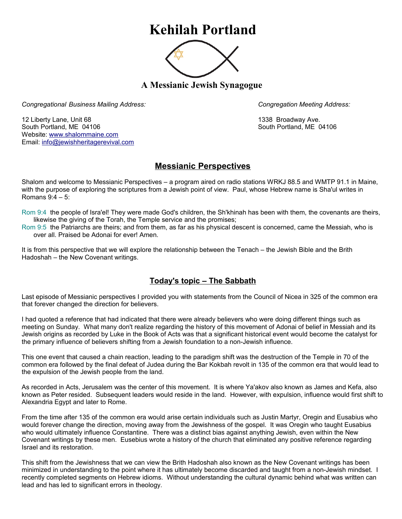## **Kehilah Portland**



**A Messianic Jewish Synagogue** 

*Congregational Business Mailing Address: Congregation Meeting Address:*

12 Liberty Lane, Unit 68 1338 Broadway Ave. South Portland, ME 04106 South Portland, ME 04106 Website: [www.shalommaine.com](http://www.shalommaine.com/) Email: [info@jewishheritagerevival.com](mailto:info@jewishheritagerevival.com) 

## **Messianic Perspectives**

Shalom and welcome to Messianic Perspectives – a program aired on radio stations WRKJ 88.5 and WMTP 91.1 in Maine, with the purpose of exploring the scriptures from a Jewish point of view. Paul, whose Hebrew name is Sha'ul writes in Romans 9:4 – 5:

Rom 9:4 the people of Isra'el! They were made God's children, the Sh'khinah has been with them, the covenants are theirs, likewise the giving of the Torah, the Temple service and the promises;

Rom 9:5 the Patriarchs are theirs; and from them, as far as his physical descent is concerned, came the Messiah, who is over all. Praised be Adonai for ever! Amen.

It is from this perspective that we will explore the relationship between the Tenach – the Jewish Bible and the Brith Hadoshah – the New Covenant writings.

## **Today's topic – The Sabbath**

Last episode of Messianic perspectives I provided you with statements from the Council of Nicea in 325 of the common era that forever changed the direction for believers.

I had quoted a reference that had indicated that there were already believers who were doing different things such as meeting on Sunday. What many don't realize regarding the history of this movement of Adonai of belief in Messiah and its Jewish origins as recorded by Luke in the Book of Acts was that a significant historical event would become the catalyst for the primary influence of believers shifting from a Jewish foundation to a non-Jewish influence.

This one event that caused a chain reaction, leading to the paradigm shift was the destruction of the Temple in 70 of the common era followed by the final defeat of Judea during the Bar Kokbah revolt in 135 of the common era that would lead to the expulsion of the Jewish people from the land.

As recorded in Acts, Jerusalem was the center of this movement. It is where Ya'akov also known as James and Kefa, also known as Peter resided. Subsequent leaders would reside in the land. However, with expulsion, influence would first shift to Alexandria Egypt and later to Rome.

From the time after 135 of the common era would arise certain individuals such as Justin Martyr, Oregin and Eusabius who would forever change the direction, moving away from the Jewishness of the gospel. It was Oregin who taught Eusabius who would ultimately influence Constantine. There was a distinct bias against anything Jewish, even within the New Covenant writings by these men. Eusebius wrote a history of the church that eliminated any positive reference regarding Israel and its restoration.

This shift from the Jewishness that we can view the Brith Hadoshah also known as the New Covenant writings has been minimized in understanding to the point where it has ultimately become discarded and taught from a non-Jewish mindset. I recently completed segments on Hebrew idioms. Without understanding the cultural dynamic behind what was written can lead and has led to significant errors in theology.